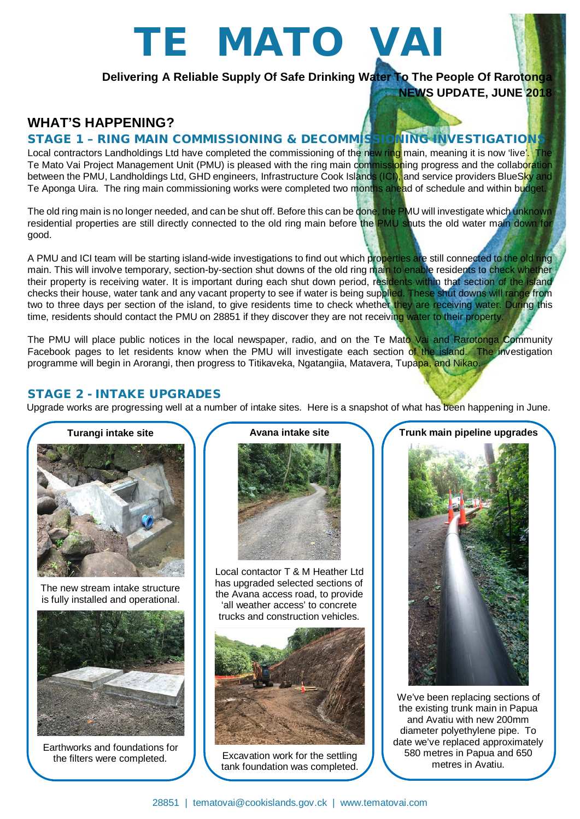# TE MATO VAI

**Delivering A Reliable Supply Of Safe Drinking Water To The People Of Rarotonga NEWS UPDATE, JUNE 2018**

# **WHAT'S HAPPENING?**

### STAGE 1 – RING MAIN COMMISSIONING & DECOMMISSIONING INVESTIGATIONS

Local contractors Landholdings Ltd have completed the commissioning of the new ring main, meaning it is now 'live'. The Te Mato Vai Project Management Unit (PMU) is pleased with the ring main commissioning progress and the collab<mark>oration</mark> between the PMU, Landholdings Ltd, GHD engineers, Infrastructure Cook Islands (ICI), and service providers BlueSky and Te Aponga Uira. The ring main commissioning works were completed two months ahead of schedule and within budget.

The old ring main is no longer needed, and can be shut off. Before this can be done, the PMU will investigate which unknown residential properties are still directly connected to the old ring main before the PMU shuts the old water main down for good.

A PMU and ICI team will be starting island-wide investigations to find out which properties are still connected to the old ring main. This will involve temporary, section-by-section shut downs of the old ring main to enable residents to check whether their property is receiving water. It is important during each shut down period, residents within that section of the island checks their house, water tank and any vacant property to see if water is being supplied. These shut downs will range from two to three days per section of the island, to give residents time to check whether they are receiving water. During this time, residents should contact the PMU on 28851 if they discover they are not receiving water to their property.

The PMU will place public notices in the local newspaper, radio, and on the Te Mato Vai and Rarotonga Community Facebook pages to let residents know when the PMU will investigate each section of the island. The investigation programme will begin in Arorangi, then progress to Titikaveka, Ngatangiia, Matavera, Tupapa, and Nikao.

### STAGE 2 - INTAKE UPGRADES

Upgrade works are progressing well at a number of intake sites. Here is a snapshot of what has been happening in June.



The new stream intake structure is fully installed and operational.



Earthworks and foundations for the filters were completed.

**Avana intake site**

Local contactor T & M Heather Ltd has upgraded selected sections of the Avana access road, to provide 'all weather access' to concrete trucks and construction vehicles.



Excavation work for the settling tank foundation was completed.



We've been replacing sections of the existing trunk main in Papua and Avatiu with new 200mm diameter polyethylene pipe. To date we've replaced approximately 580 metres in Papua and 650 metres in Avatiu.

### **Trunk main pipeline upgrades**